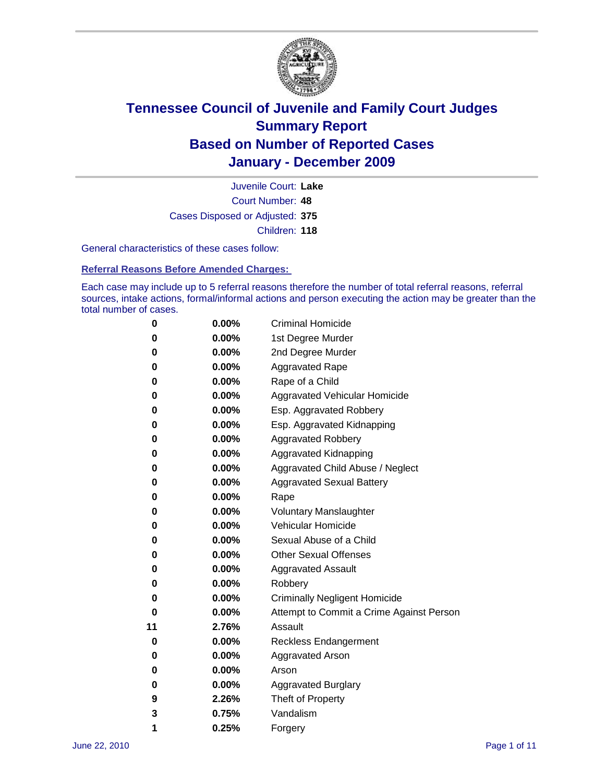

Court Number: **48** Juvenile Court: **Lake** Cases Disposed or Adjusted: **375** Children: **118**

General characteristics of these cases follow:

**Referral Reasons Before Amended Charges:** 

Each case may include up to 5 referral reasons therefore the number of total referral reasons, referral sources, intake actions, formal/informal actions and person executing the action may be greater than the total number of cases.

| 0  | 0.00% | <b>Criminal Homicide</b>                 |
|----|-------|------------------------------------------|
| 0  | 0.00% | 1st Degree Murder                        |
| 0  | 0.00% | 2nd Degree Murder                        |
| 0  | 0.00% | <b>Aggravated Rape</b>                   |
| 0  | 0.00% | Rape of a Child                          |
| 0  | 0.00% | Aggravated Vehicular Homicide            |
| 0  | 0.00% | Esp. Aggravated Robbery                  |
| 0  | 0.00% | Esp. Aggravated Kidnapping               |
| 0  | 0.00% | <b>Aggravated Robbery</b>                |
| 0  | 0.00% | Aggravated Kidnapping                    |
| 0  | 0.00% | Aggravated Child Abuse / Neglect         |
| 0  | 0.00% | <b>Aggravated Sexual Battery</b>         |
| 0  | 0.00% | Rape                                     |
| 0  | 0.00% | <b>Voluntary Manslaughter</b>            |
| 0  | 0.00% | Vehicular Homicide                       |
| 0  | 0.00% | Sexual Abuse of a Child                  |
| 0  | 0.00% | <b>Other Sexual Offenses</b>             |
| 0  | 0.00% | <b>Aggravated Assault</b>                |
| 0  | 0.00% | Robbery                                  |
| 0  | 0.00% | <b>Criminally Negligent Homicide</b>     |
| 0  | 0.00% | Attempt to Commit a Crime Against Person |
| 11 | 2.76% | Assault                                  |
| 0  | 0.00% | <b>Reckless Endangerment</b>             |
| 0  | 0.00% | <b>Aggravated Arson</b>                  |
| 0  | 0.00% | Arson                                    |
| 0  | 0.00% | <b>Aggravated Burglary</b>               |
| 9  | 2.26% | Theft of Property                        |
| 3  | 0.75% | Vandalism                                |
| 1  | 0.25% | Forgery                                  |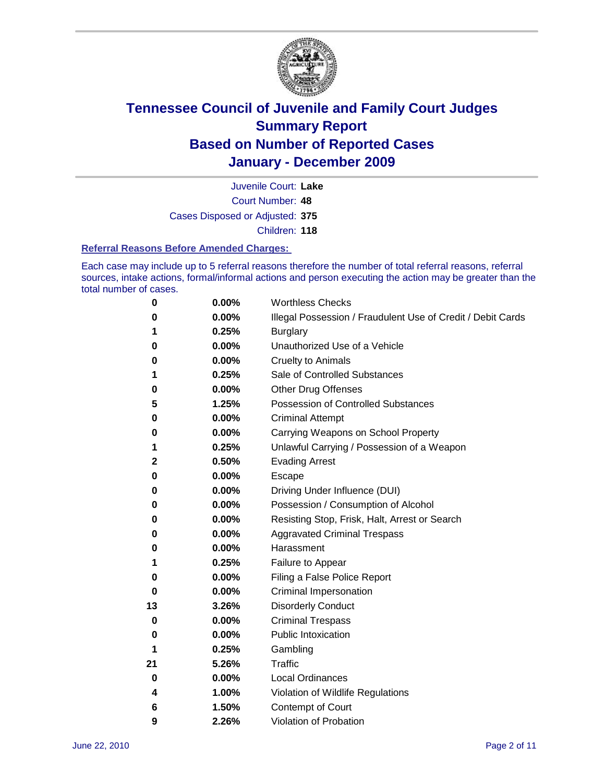

Court Number: **48** Juvenile Court: **Lake** Cases Disposed or Adjusted: **375** Children: **118**

#### **Referral Reasons Before Amended Charges:**

Each case may include up to 5 referral reasons therefore the number of total referral reasons, referral sources, intake actions, formal/informal actions and person executing the action may be greater than the total number of cases.

| 0  | 0.00% | <b>Worthless Checks</b>                                     |
|----|-------|-------------------------------------------------------------|
| 0  | 0.00% | Illegal Possession / Fraudulent Use of Credit / Debit Cards |
| 1  | 0.25% | <b>Burglary</b>                                             |
| 0  | 0.00% | Unauthorized Use of a Vehicle                               |
| 0  | 0.00% | <b>Cruelty to Animals</b>                                   |
| 1  | 0.25% | Sale of Controlled Substances                               |
| 0  | 0.00% | <b>Other Drug Offenses</b>                                  |
| 5  | 1.25% | <b>Possession of Controlled Substances</b>                  |
| 0  | 0.00% | <b>Criminal Attempt</b>                                     |
| 0  | 0.00% | Carrying Weapons on School Property                         |
| 1  | 0.25% | Unlawful Carrying / Possession of a Weapon                  |
| 2  | 0.50% | <b>Evading Arrest</b>                                       |
| 0  | 0.00% | Escape                                                      |
| 0  | 0.00% | Driving Under Influence (DUI)                               |
| 0  | 0.00% | Possession / Consumption of Alcohol                         |
| 0  | 0.00% | Resisting Stop, Frisk, Halt, Arrest or Search               |
| 0  | 0.00% | <b>Aggravated Criminal Trespass</b>                         |
| 0  | 0.00% | Harassment                                                  |
| 1  | 0.25% | Failure to Appear                                           |
| 0  | 0.00% | Filing a False Police Report                                |
| 0  | 0.00% | Criminal Impersonation                                      |
| 13 | 3.26% | <b>Disorderly Conduct</b>                                   |
| 0  | 0.00% | <b>Criminal Trespass</b>                                    |
| 0  | 0.00% | <b>Public Intoxication</b>                                  |
| 1  | 0.25% | Gambling                                                    |
| 21 | 5.26% | <b>Traffic</b>                                              |
| 0  | 0.00% | <b>Local Ordinances</b>                                     |
| 4  | 1.00% | Violation of Wildlife Regulations                           |
| 6  | 1.50% | Contempt of Court                                           |
| 9  | 2.26% | Violation of Probation                                      |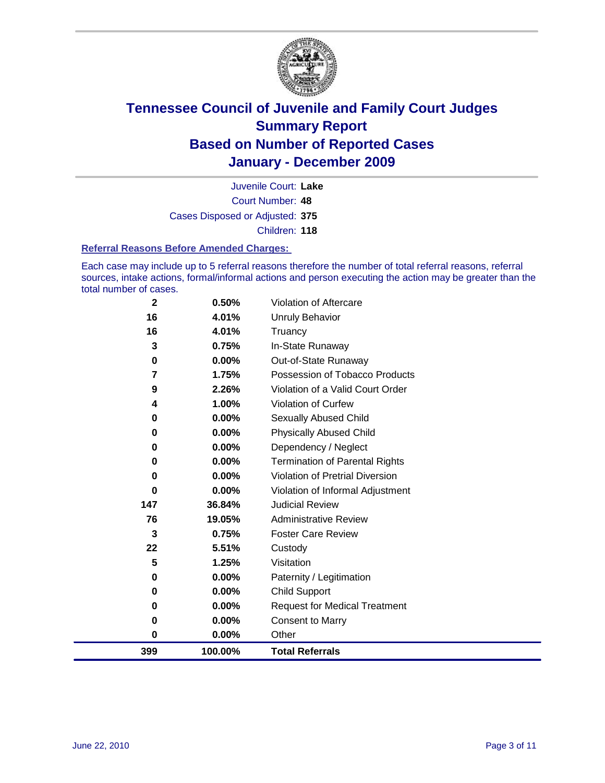

Court Number: **48** Juvenile Court: **Lake** Cases Disposed or Adjusted: **375** Children: **118**

#### **Referral Reasons Before Amended Charges:**

Each case may include up to 5 referral reasons therefore the number of total referral reasons, referral sources, intake actions, formal/informal actions and person executing the action may be greater than the total number of cases.

| 399         | 100.00%        | <b>Total Referrals</b>                   |
|-------------|----------------|------------------------------------------|
| $\bf{0}$    | 0.00%          | Other                                    |
| 0           | 0.00%          | <b>Consent to Marry</b>                  |
| 0           | $0.00\%$       | <b>Request for Medical Treatment</b>     |
| 0           | $0.00\%$       | <b>Child Support</b>                     |
| 0           | $0.00\%$       | Paternity / Legitimation                 |
| 5           | 1.25%          | Visitation                               |
| 22          | 5.51%          | Custody                                  |
| 3           | 0.75%          | <b>Foster Care Review</b>                |
| 76          | 19.05%         | <b>Administrative Review</b>             |
| 147         | 36.84%         | <b>Judicial Review</b>                   |
| 0           | 0.00%          | Violation of Informal Adjustment         |
| $\bf{0}$    | $0.00\%$       | <b>Violation of Pretrial Diversion</b>   |
| $\bf{0}$    | $0.00\%$       | <b>Termination of Parental Rights</b>    |
| 0           | 0.00%          | Dependency / Neglect                     |
| $\bf{0}$    | 0.00%          | <b>Physically Abused Child</b>           |
| 0           | 0.00%          | Sexually Abused Child                    |
| 4           | 1.00%          | Violation of Curfew                      |
| 9           | 2.26%          | Violation of a Valid Court Order         |
| 7           | 1.75%          | Possession of Tobacco Products           |
| 0           | $0.00\%$       | In-State Runaway<br>Out-of-State Runaway |
| 16<br>3     | 4.01%<br>0.75% | Truancy                                  |
| 16          | 4.01%          | <b>Unruly Behavior</b>                   |
| $\mathbf 2$ | 0.50%          | <b>Violation of Aftercare</b>            |
|             |                |                                          |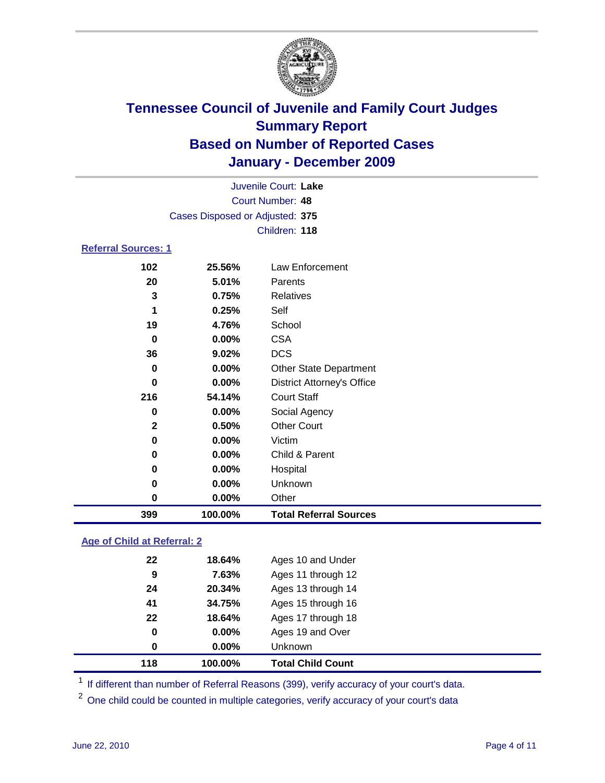

|                            |                                 | Juvenile Court: Lake              |  |
|----------------------------|---------------------------------|-----------------------------------|--|
|                            | <b>Court Number: 48</b>         |                                   |  |
|                            | Cases Disposed or Adjusted: 375 |                                   |  |
|                            |                                 | Children: 118                     |  |
| <b>Referral Sources: 1</b> |                                 |                                   |  |
| 102                        | 25.56%                          | Law Enforcement                   |  |
| 20                         | 5.01%                           | Parents                           |  |
| 3                          | 0.75%                           | Relatives                         |  |
| 1                          | 0.25%                           | Self                              |  |
| 19                         | 4.76%                           | School                            |  |
| 0                          | $0.00\%$                        | <b>CSA</b>                        |  |
| 36                         | 9.02%                           | <b>DCS</b>                        |  |
| 0                          | $0.00\%$                        | <b>Other State Department</b>     |  |
| $\bf{0}$                   | 0.00%                           | <b>District Attorney's Office</b> |  |
| 216                        | 54.14%                          | <b>Court Staff</b>                |  |
| $\bf{0}$                   | 0.00%                           | Social Agency                     |  |
| $\mathbf{2}$               | 0.50%                           | <b>Other Court</b>                |  |
| 0                          | 0.00%                           | Victim                            |  |
| 0                          | 0.00%                           | Child & Parent                    |  |
| 0                          | 0.00%                           | Hospital                          |  |
| 0                          | 0.00%                           | Unknown                           |  |
| 0                          | 0.00%                           | Other                             |  |
| 399                        | 100.00%                         | <b>Total Referral Sources</b>     |  |
|                            |                                 |                                   |  |

### **Age of Child at Referral: 2**

| 118 | 100.00%  | <b>Total Child Count</b> |
|-----|----------|--------------------------|
| 0   | $0.00\%$ | <b>Unknown</b>           |
| 0   | 0.00%    | Ages 19 and Over         |
| 22  | 18.64%   | Ages 17 through 18       |
| 41  | 34.75%   | Ages 15 through 16       |
| 24  | 20.34%   | Ages 13 through 14       |
| 9   | 7.63%    | Ages 11 through 12       |
| 22  | 18.64%   | Ages 10 and Under        |
|     |          |                          |

<sup>1</sup> If different than number of Referral Reasons (399), verify accuracy of your court's data.

One child could be counted in multiple categories, verify accuracy of your court's data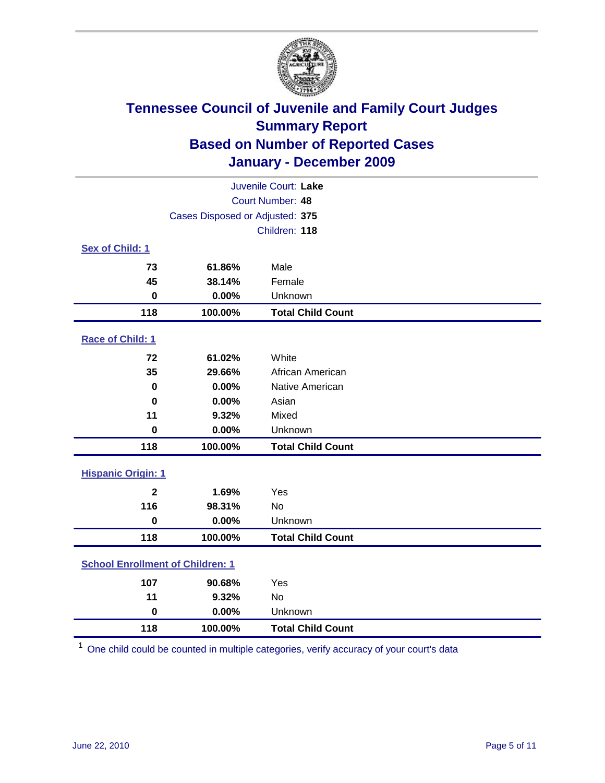

| Juvenile Court: Lake                    |                                 |                          |  |  |
|-----------------------------------------|---------------------------------|--------------------------|--|--|
|                                         | <b>Court Number: 48</b>         |                          |  |  |
|                                         | Cases Disposed or Adjusted: 375 |                          |  |  |
|                                         |                                 | Children: 118            |  |  |
| Sex of Child: 1                         |                                 |                          |  |  |
| 73                                      | 61.86%                          | Male                     |  |  |
| 45                                      | 38.14%                          | Female                   |  |  |
| $\mathbf 0$                             | 0.00%                           | Unknown                  |  |  |
| 118                                     | 100.00%                         | <b>Total Child Count</b> |  |  |
| Race of Child: 1                        |                                 |                          |  |  |
| 72                                      | 61.02%                          | White                    |  |  |
| 35                                      | 29.66%                          | African American         |  |  |
| $\mathbf 0$                             | 0.00%                           | Native American          |  |  |
| $\mathbf 0$                             | 0.00%                           | Asian                    |  |  |
| 11                                      | 9.32%                           | Mixed                    |  |  |
| $\mathbf 0$                             | 0.00%                           | Unknown                  |  |  |
| 118                                     | 100.00%                         | <b>Total Child Count</b> |  |  |
| <b>Hispanic Origin: 1</b>               |                                 |                          |  |  |
| $\mathbf{2}$                            | 1.69%                           | Yes                      |  |  |
| 116                                     | 98.31%                          | <b>No</b>                |  |  |
| $\mathbf 0$                             | 0.00%                           | Unknown                  |  |  |
| 118                                     | 100.00%                         | <b>Total Child Count</b> |  |  |
| <b>School Enrollment of Children: 1</b> |                                 |                          |  |  |
| 107                                     | 90.68%                          | Yes                      |  |  |
| 11                                      | 9.32%                           | No                       |  |  |
| $\mathbf 0$                             | 0.00%                           | Unknown                  |  |  |
| 118                                     | 100.00%                         | <b>Total Child Count</b> |  |  |

One child could be counted in multiple categories, verify accuracy of your court's data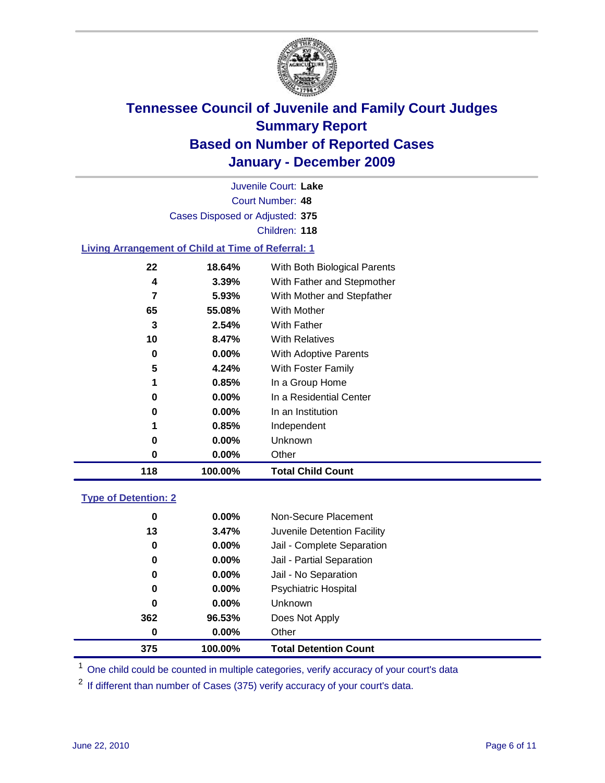

Court Number: **48** Juvenile Court: **Lake** Cases Disposed or Adjusted: **375** Children: **118**

### **Living Arrangement of Child at Time of Referral: 1**

| 118 | 100.00%  | <b>Total Child Count</b>     |
|-----|----------|------------------------------|
| 0   | 0.00%    | Other                        |
| 0   | $0.00\%$ | <b>Unknown</b>               |
| 1   | 0.85%    | Independent                  |
| 0   | $0.00\%$ | In an Institution            |
| 0   | $0.00\%$ | In a Residential Center      |
| 1   | 0.85%    | In a Group Home              |
| 5   | 4.24%    | With Foster Family           |
| 0   | 0.00%    | With Adoptive Parents        |
| 10  | 8.47%    | <b>With Relatives</b>        |
| 3   | 2.54%    | <b>With Father</b>           |
| 65  | 55.08%   | With Mother                  |
| 7   | 5.93%    | With Mother and Stepfather   |
| 4   | 3.39%    | With Father and Stepmother   |
| 22  | 18.64%   | With Both Biological Parents |
|     |          |                              |

#### **Type of Detention: 2**

| 375 | 100.00%  | <b>Total Detention Count</b> |  |
|-----|----------|------------------------------|--|
| 0   | 0.00%    | Other                        |  |
| 362 | 96.53%   | Does Not Apply               |  |
| 0   | $0.00\%$ | Unknown                      |  |
| 0   | $0.00\%$ | Psychiatric Hospital         |  |
| 0   | 0.00%    | Jail - No Separation         |  |
| 0   | $0.00\%$ | Jail - Partial Separation    |  |
| 0   | 0.00%    | Jail - Complete Separation   |  |
| 13  | 3.47%    | Juvenile Detention Facility  |  |
| 0   | $0.00\%$ | Non-Secure Placement         |  |
|     |          |                              |  |

<sup>1</sup> One child could be counted in multiple categories, verify accuracy of your court's data

<sup>2</sup> If different than number of Cases (375) verify accuracy of your court's data.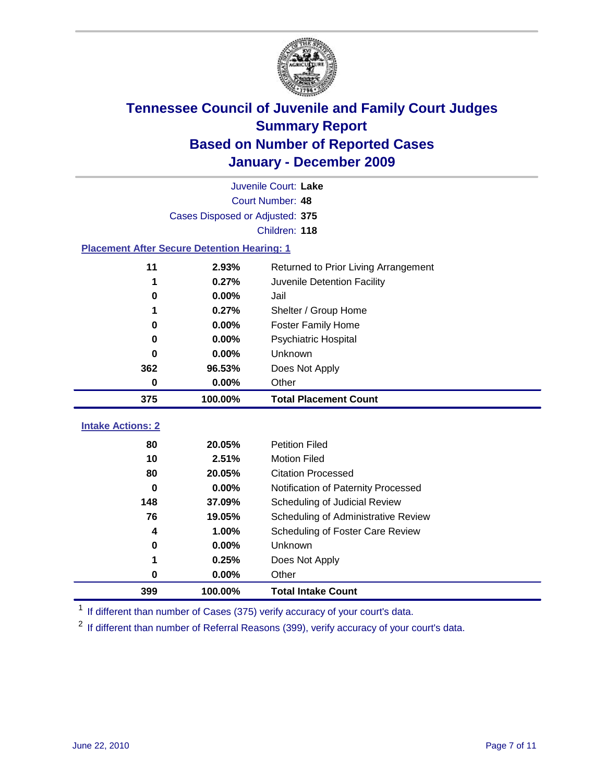

|                                                    | Juvenile Court: Lake            |                                      |  |  |  |
|----------------------------------------------------|---------------------------------|--------------------------------------|--|--|--|
|                                                    | Court Number: 48                |                                      |  |  |  |
|                                                    | Cases Disposed or Adjusted: 375 |                                      |  |  |  |
|                                                    |                                 | Children: 118                        |  |  |  |
| <b>Placement After Secure Detention Hearing: 1</b> |                                 |                                      |  |  |  |
| 11                                                 | 2.93%                           | Returned to Prior Living Arrangement |  |  |  |
| 1                                                  | 0.27%                           | Juvenile Detention Facility          |  |  |  |
| 0                                                  | 0.00%                           | Jail                                 |  |  |  |
| 1                                                  | 0.27%                           | Shelter / Group Home                 |  |  |  |
| 0                                                  | 0.00%                           | <b>Foster Family Home</b>            |  |  |  |
| 0                                                  | 0.00%                           | Psychiatric Hospital                 |  |  |  |
| 0                                                  | 0.00%                           | Unknown                              |  |  |  |
| 362                                                | 96.53%                          | Does Not Apply                       |  |  |  |
| $\mathbf 0$                                        | 0.00%                           | Other                                |  |  |  |
| 375                                                | 100.00%                         | <b>Total Placement Count</b>         |  |  |  |
|                                                    |                                 |                                      |  |  |  |
| <b>Intake Actions: 2</b>                           |                                 |                                      |  |  |  |
| 80                                                 | 20.05%                          | <b>Petition Filed</b>                |  |  |  |
| 10                                                 | 2.51%                           | <b>Motion Filed</b>                  |  |  |  |
| 80                                                 | 20.05%                          | <b>Citation Processed</b>            |  |  |  |
| $\bf{0}$                                           | 0.00%                           | Notification of Paternity Processed  |  |  |  |
| 148                                                | 37.09%                          | Scheduling of Judicial Review        |  |  |  |
| 76                                                 | 19.05%                          | Scheduling of Administrative Review  |  |  |  |
| 4                                                  | 1.00%                           | Scheduling of Foster Care Review     |  |  |  |
| 0                                                  | 0.00%                           | Unknown                              |  |  |  |
| 1                                                  | 0.25%                           | Does Not Apply                       |  |  |  |
| 0                                                  | 0.00%                           | Other                                |  |  |  |
| 399                                                | 100.00%                         | <b>Total Intake Count</b>            |  |  |  |

<sup>1</sup> If different than number of Cases (375) verify accuracy of your court's data.

<sup>2</sup> If different than number of Referral Reasons (399), verify accuracy of your court's data.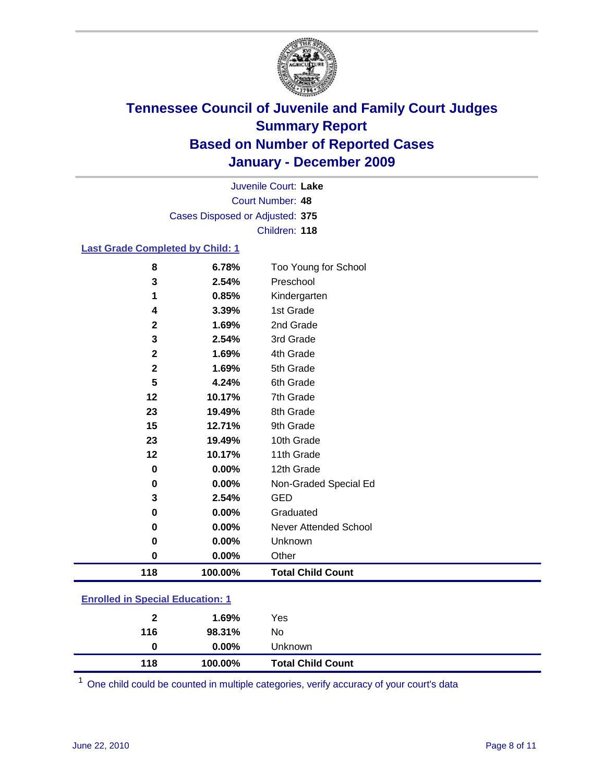

Court Number: **48** Juvenile Court: **Lake** Cases Disposed or Adjusted: **375** Children: **118**

### **Last Grade Completed by Child: 1**

| 118          | 100.00% | <b>Total Child Count</b> |  |
|--------------|---------|--------------------------|--|
| 0            | 0.00%   | Other                    |  |
| 0            | 0.00%   | Unknown                  |  |
| 0            | 0.00%   | Never Attended School    |  |
| 0            | 0.00%   | Graduated                |  |
| 3            | 2.54%   | <b>GED</b>               |  |
| 0            | 0.00%   | Non-Graded Special Ed    |  |
| $\mathbf 0$  | 0.00%   | 12th Grade               |  |
| 12           | 10.17%  | 11th Grade               |  |
| 23           | 19.49%  | 10th Grade               |  |
| 15           | 12.71%  | 9th Grade                |  |
| 23           | 19.49%  | 8th Grade                |  |
| 12           | 10.17%  | 7th Grade                |  |
| 5            | 4.24%   | 6th Grade                |  |
| 2            | 1.69%   | 5th Grade                |  |
| $\mathbf{2}$ | 1.69%   | 4th Grade                |  |
| 3            | 2.54%   | 3rd Grade                |  |
| 2            | 1.69%   | 2nd Grade                |  |
| 4            | 3.39%   | 1st Grade                |  |
| 1            | 0.85%   | Kindergarten             |  |
| 3            | 2.54%   | Preschool                |  |
| 8            | 6.78%   | Too Young for School     |  |

### **Enrolled in Special Education: 1**

| 116 | 98.31%   | No.                      |  |
|-----|----------|--------------------------|--|
| 0   | $0.00\%$ | <b>Unknown</b>           |  |
| 118 | 100.00%  | <b>Total Child Count</b> |  |

One child could be counted in multiple categories, verify accuracy of your court's data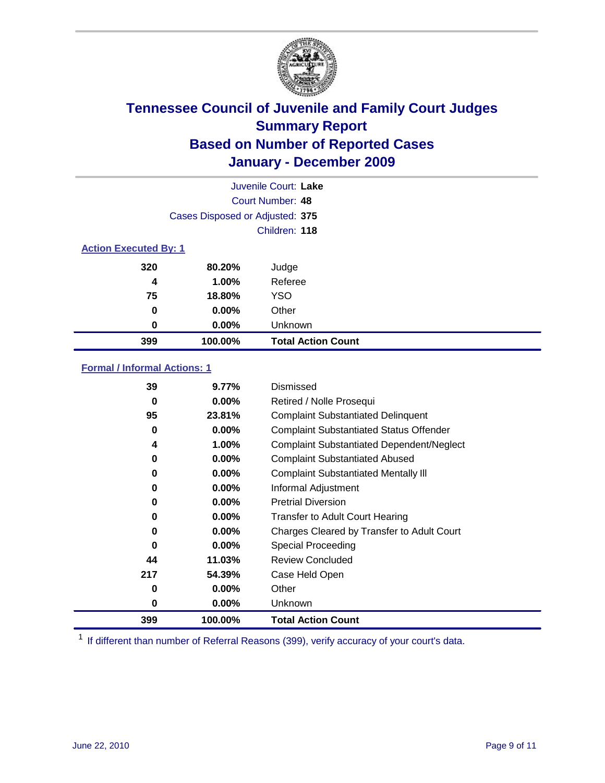

| Juvenile Court: Lake         |                                 |                           |  |  |
|------------------------------|---------------------------------|---------------------------|--|--|
|                              | Court Number: 48                |                           |  |  |
|                              | Cases Disposed or Adjusted: 375 |                           |  |  |
|                              |                                 | Children: 118             |  |  |
| <b>Action Executed By: 1</b> |                                 |                           |  |  |
| 320                          | 80.20%                          | Judge                     |  |  |
| 4                            | 1.00%                           | Referee                   |  |  |
| 75                           | 18.80%                          | <b>YSO</b>                |  |  |
| 0                            | 0.00%                           | Other                     |  |  |
| 0                            | 0.00%                           | Unknown                   |  |  |
| 399                          | 100.00%                         | <b>Total Action Count</b> |  |  |

### **Formal / Informal Actions: 1**

| 39       | 9.77%    | Dismissed                                        |
|----------|----------|--------------------------------------------------|
| 0        | $0.00\%$ | Retired / Nolle Prosequi                         |
| 95       | 23.81%   | <b>Complaint Substantiated Delinquent</b>        |
| 0        | $0.00\%$ | <b>Complaint Substantiated Status Offender</b>   |
| 4        | 1.00%    | <b>Complaint Substantiated Dependent/Neglect</b> |
| 0        | 0.00%    | <b>Complaint Substantiated Abused</b>            |
| 0        | 0.00%    | <b>Complaint Substantiated Mentally III</b>      |
| 0        | $0.00\%$ | Informal Adjustment                              |
| 0        | $0.00\%$ | <b>Pretrial Diversion</b>                        |
| 0        | $0.00\%$ | <b>Transfer to Adult Court Hearing</b>           |
| 0        | $0.00\%$ | Charges Cleared by Transfer to Adult Court       |
| $\bf{0}$ | $0.00\%$ | <b>Special Proceeding</b>                        |
| 44       | 11.03%   | <b>Review Concluded</b>                          |
| 217      | 54.39%   | Case Held Open                                   |
| 0        | $0.00\%$ | Other                                            |
| 0        | $0.00\%$ | Unknown                                          |
| 399      | 100.00%  | <b>Total Action Count</b>                        |

<sup>1</sup> If different than number of Referral Reasons (399), verify accuracy of your court's data.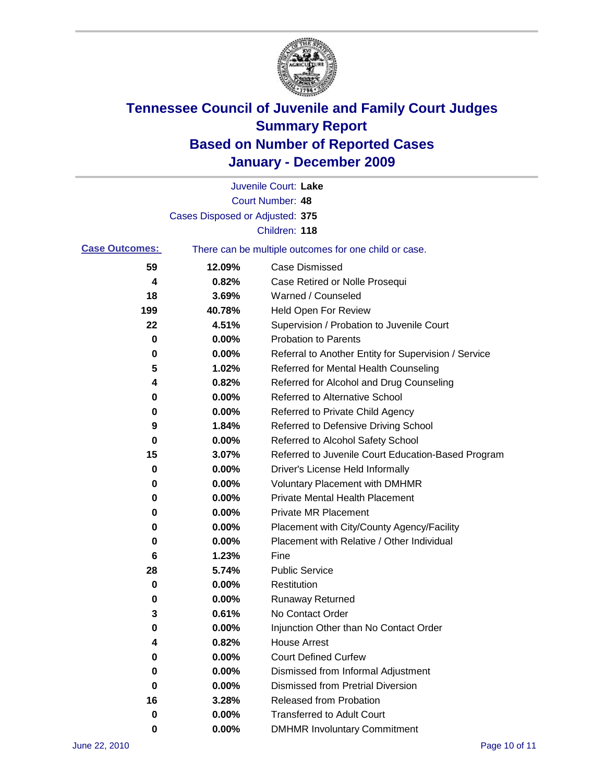

|                       |                                 | Juvenile Court: Lake                                  |
|-----------------------|---------------------------------|-------------------------------------------------------|
|                       |                                 | <b>Court Number: 48</b>                               |
|                       | Cases Disposed or Adjusted: 375 |                                                       |
|                       |                                 | Children: 118                                         |
| <b>Case Outcomes:</b> |                                 | There can be multiple outcomes for one child or case. |
| 59                    | 12.09%                          | <b>Case Dismissed</b>                                 |
| 4                     | 0.82%                           | Case Retired or Nolle Prosequi                        |
| 18                    | 3.69%                           | Warned / Counseled                                    |
| 199                   | 40.78%                          | Held Open For Review                                  |
| 22                    | 4.51%                           | Supervision / Probation to Juvenile Court             |
| 0                     | 0.00%                           | <b>Probation to Parents</b>                           |
| 0                     | 0.00%                           | Referral to Another Entity for Supervision / Service  |
| 5                     | 1.02%                           | Referred for Mental Health Counseling                 |
| 4                     | 0.82%                           | Referred for Alcohol and Drug Counseling              |
| 0                     | 0.00%                           | <b>Referred to Alternative School</b>                 |
| 0                     | 0.00%                           | Referred to Private Child Agency                      |
| 9                     | 1.84%                           | Referred to Defensive Driving School                  |
| 0                     | 0.00%                           | Referred to Alcohol Safety School                     |
| 15                    | 3.07%                           | Referred to Juvenile Court Education-Based Program    |
| 0                     | 0.00%                           | Driver's License Held Informally                      |
| 0                     | 0.00%                           | <b>Voluntary Placement with DMHMR</b>                 |
| 0                     | 0.00%                           | <b>Private Mental Health Placement</b>                |
| 0                     | 0.00%                           | <b>Private MR Placement</b>                           |
| 0                     | 0.00%                           | Placement with City/County Agency/Facility            |
| 0                     | 0.00%                           | Placement with Relative / Other Individual            |
| 6                     | 1.23%                           | Fine                                                  |
| 28                    | 5.74%                           | <b>Public Service</b>                                 |
| 0                     | 0.00%                           | Restitution                                           |
| 0                     | 0.00%                           | Runaway Returned                                      |
| 3                     | 0.61%                           | No Contact Order                                      |
| 0                     | 0.00%                           | Injunction Other than No Contact Order                |
| 4                     | 0.82%                           | <b>House Arrest</b>                                   |
| 0                     | 0.00%                           | <b>Court Defined Curfew</b>                           |
| 0                     | 0.00%                           | Dismissed from Informal Adjustment                    |
| 0                     | 0.00%                           | <b>Dismissed from Pretrial Diversion</b>              |
| 16                    | 3.28%                           | Released from Probation                               |
| 0                     | 0.00%                           | <b>Transferred to Adult Court</b>                     |
| 0                     | 0.00%                           | <b>DMHMR Involuntary Commitment</b>                   |